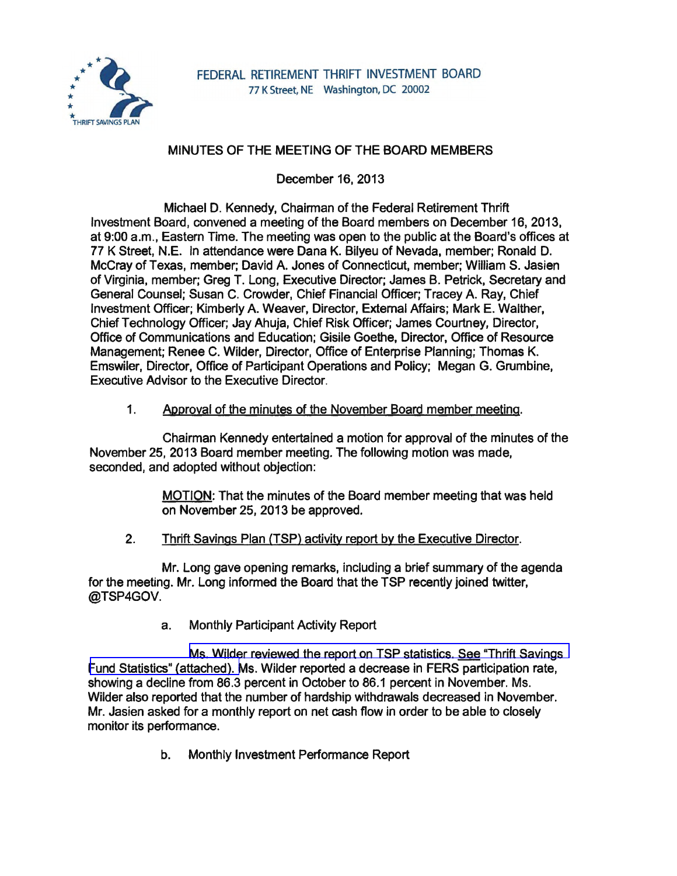

# MINUTES OF THE MEETING OF THE BOARD MEMBERS

December 16, 2013

Michael D. Kennedy, Chairman of the Federal Retirement Thrift Investment Board, convened a meeting of the Board members on December 16, 2013, at 9:00 a.m., Eastern Time. The meeting was open to the public at the Board's offices at 77 K Street, N.E. In attendance were Dana K. Bilyeu of Nevada, member; Ronald D. McCray of Texas, member; David A. Jones of Connecticut, member; William S. Jasien of Virginia, member; Greg T. Long, Executive Director; James B. Petrick, Secretary and General Counsel; Susan C. Crowder, Chief Financial Officer; Tracey A. Ray, Chief Investment Officer; Kimberly A. Weaver, Director, External Affairs; Mark E. Walther, Chief Technology Officer; Jay Ahuja, Chief Risk Officer; James Courtney, Director, Office of Communications and Education; Gisile Goethe, Director, Office of Resource Management; Renee C. Wilder, Director, Office of Enterprise Planning; Thomas K. Emswiler, Director, Office of Participant Operations and Policy; Megan G. Grumbine, Executive Advisor to the Executive Director.

### 1. Approval of the minutes of the November Board member meeting.

Chairman Kennedy entertained a motion for approval of the minutes of the November 25, 2013 Board member meeting. The following motion was made, seconded, and adopted without objection:

> MOTION: That the minutes of the Board member meeting that was held on November 25, 2013 be approved.

2. Thrift Savings Plan (TSP) activity report by the Executive Director.

Mr. Long gave opening remarks, including a brief summary of the agenda for the meeting. Mr. Long informed the Board that the TSP recently joined twitter, @TSP4GOV.

a. Monthly Participant Activity Report

[Ms. Wilder reviewed the report on TSP statistics. See "Thrift Savings](http://www.frtib.gov/pdf/minutes/MM-2013Dec-Att1.pdf)  [Fund Statistics" \(attached\). M](http://www.frtib.gov/pdf/minutes/MM-2013Dec-Att1.pdf)s. Wilder reported a decrease in FERS participation rate, showing a decline from 86.3 percent in October to 86.1 percent in November. Ms. Wilder also reported that the number of hardship withdrawals decreased in November. Mr. Jasien asked for a monthly report on net cash flow in order to be able to closely monitor its performance.

b. Monthly Investment Performance Report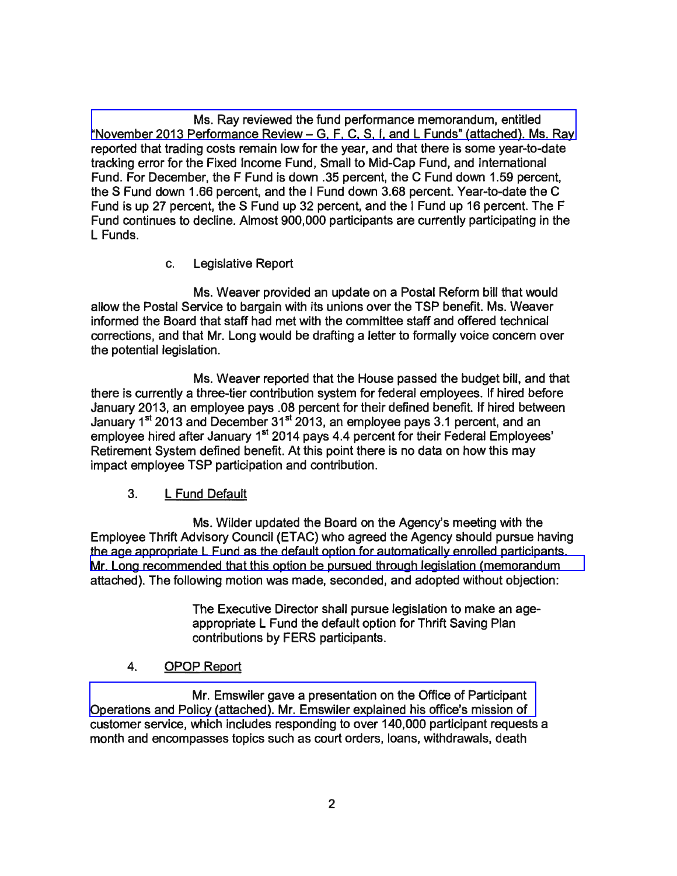[Ms. Ray reviewed the fund performance memorandum, entitled](http://www.frtib.gov/pdf/minutes/MM-2013Dec-Att2.pdf)  "November 2013 Performance Review- G, F, C, S, I, and **L** Funds" (attached). Ms. Ray reported that trading costs remain low for the year, and that there is some year-to-date tracking error for the Fixed Income Fund, Small to Mid-Cap Fund, and International Fund. For December, the F Fund is down .35 percent, the C Fund down 1.59 percent, the S Fund down 1.66 percent, and the I Fund down 3.68 percent. Year-to-date the C Fund is up 27 percent, the S Fund up 32 percent, and the I Fund up 16 percent. The F Fund continues to decline. Almost 900,000 participants are currently participating in the L Funds.

c. Legislative Report

Ms. Weaver provided an update on a Postal Reform bill that would allow the Postal Service to bargain with its unions over the TSP benefit. Ms. Weaver informed the Board that staff had met with the committee staff and offered technical corrections, and that Mr. Long would be drafting a letter to formally voice concern over the potential legislation.

Ms. Weaver reported that the House passed the budget bill, and that there is currently a three-tier contribution system for federal employees. If hired before January 2013, an employee pays .08 percent for their defined benefit. If hired between January 1<sup>st</sup> 2013 and December 31<sup>st</sup> 2013, an employee pays 3.1 percent, and an employee hired after January 1<sup>st</sup> 2014 pays 4.4 percent for their Federal Employees' Retirement System defined benefit. At this point there is no data on how this may impact employee TSP participation and contribution.

### 3. **L** Fund Default

Ms. Wilder updated the Board on the Agency's meeting with the Employee Thrift Advisory Council (ETAC) who agreed the Agency should pursue having the age appropriate L Fund as the default option for automatically enrolled participants. [Mr. Long recommended that this option be pursued through legislation \(memorandum](http://www.frtib.gov/pdf/minutes/MM-2013Dec-Att3.pdf)  attached). The following motion was made, seconded, and adopted without objection:

> The Executive Director shall pursue legislation to make an ageappropriate **L** Fund the default option for Thrift Saving Plan contributions by FERS participants.

### 4. OPOP Report

Mr. Emswiler gave a presentation on the Office of Participant [Operations and Policy \(attached\). Mr. Emswiler explained his office's mission of](http://www.frtib.gov/pdf/minutes/MM-2013Dec-Att4.pdf)  customer service, which includes responding to over 140,000 participant requests a month and encompasses topics such as court orders, loans, withdrawals, death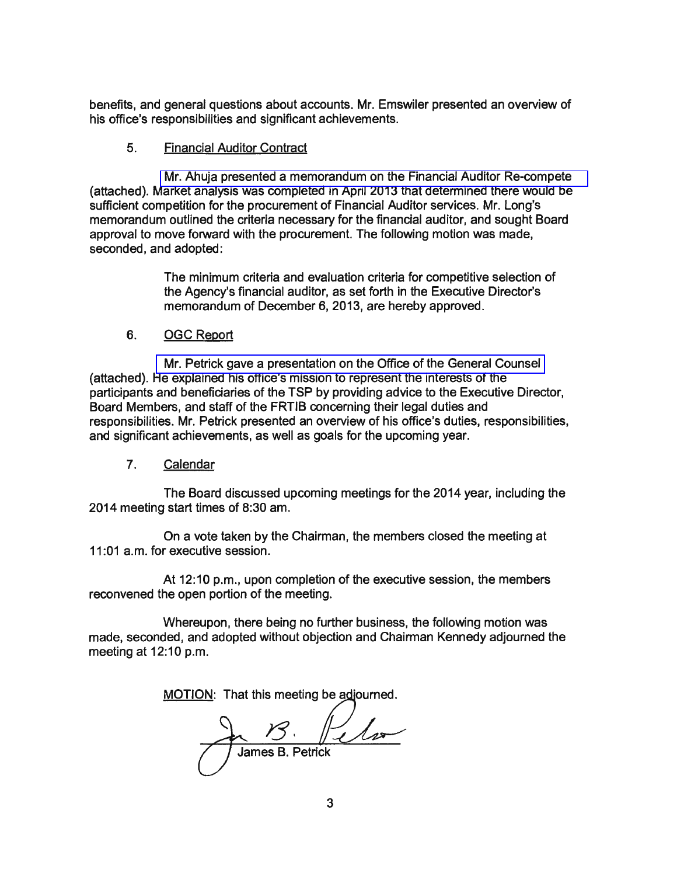benefits, and general questions about accounts. Mr. Emswiler presented an overview of his office's responsibilities and significant achievements.

#### 5. Financial Auditor Contract

[Mr. Ahuja presented a memorandum on the Financial Auditor Re-compete](http://www.frtib.gov/pdf/minutes/MM-2013Dec-Att5.pdf)  (attached). Market analysis was completed in April 2013 that determined there would be sufficient competition for the procurement of Financial Auditor services. Mr. Long's memorandum outlined the criteria necessary for the financial auditor, and sought Board approval to move forward with the procurement. The following motion was made, seconded, and adopted:

> The minimum criteria and evaluation criteria for competitive selection of the Agency's financial auditor, as set forth in the Executive Director's memorandum of December 6, 2013, are hereby approved.

### 6. OGC Report

[Mr. Petrick gave a presentation on the Office of the General Counsel](http://www.frtib.gov/pdf/minutes/MM-2013Dec-Att6.pdf)  (attached). He explained his office's mission to represent the interests of the participants and beneficiaries of the TSP by providing advice to the Executive Director, Board Members, and staff of the FRTIB concerning their legal duties and responsibilities. Mr. Petrick presented an overview of his office's duties, responsibilities, and significant achievements, as well as goals for the upcoming year.

#### 7. Calendar

The Board discussed upcoming meetings for the 2014 year, including the 2014 meeting start times of 8:30 am.

On a vote taken by the Chairman, the members closed the meeting at 11 :01 a.m. for executive session.

At 12:10 p.m., upon completion of the executive session, the members reconvened the open portion of the meeting.

Whereupon, there being no further business, the following motion was made, seconded, and adopted without objection and Chairman Kennedy adjourned the meeting at 12:10 p.m.

MOTION: That this meeting be adjourned.

Mat this meeting be adjourned.<br>
<br>
James B. Petrick